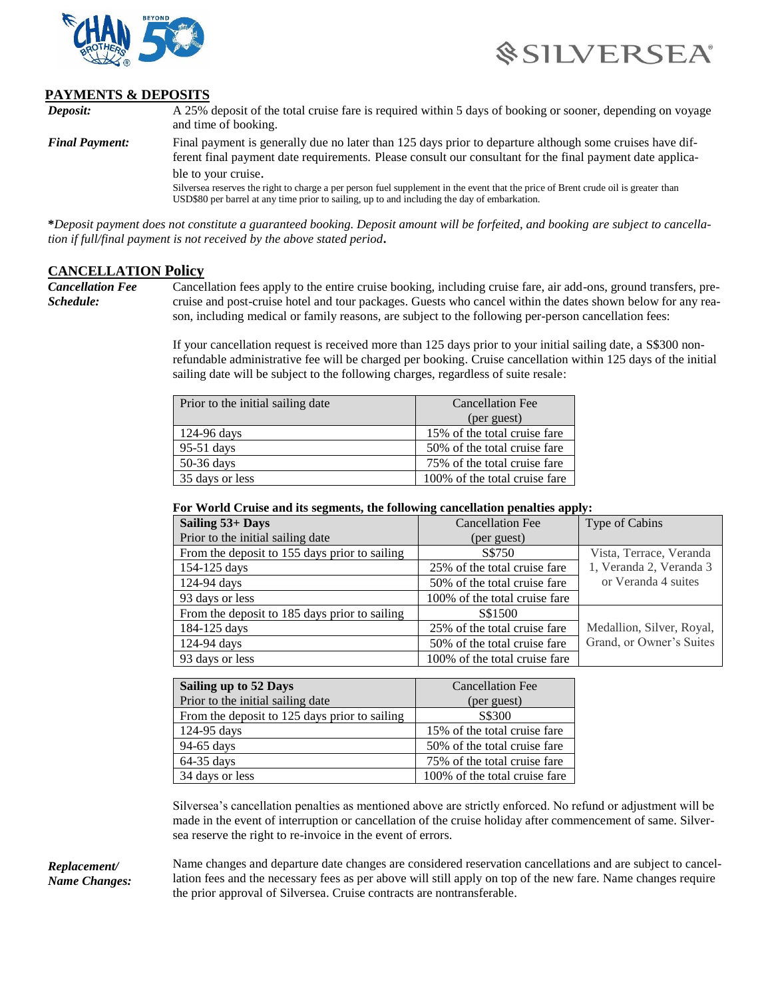



## **PAYMENTS & DEPOSITS**

*Deposit:* A 25% deposit of the total cruise fare is required within 5 days of booking or sooner, depending on voyage and time of booking. *Final Payment:* Final payment is generally due no later than 125 days prior to departure although some cruises have different final payment date requirements. Please consult our consultant for the final payment date applicable to your cruise. Silversea reserves the right to charge a per person fuel supplement in the event that the price of Brent crude oil is greater than USD\$80 per barrel at any time prior to sailing, up to and including the day of embarkation.

**\****Deposit payment does not constitute a guaranteed booking. Deposit amount will be forfeited, and booking are subject to cancellation if full/final payment is not received by the above stated period***.**

## **CANCELLATION Policy**

*Cancellation Fee Schedule:*

Cancellation fees apply to the entire cruise booking, including cruise fare, air add-ons, ground transfers, precruise and post-cruise hotel and tour packages. Guests who cancel within the dates shown below for any reason, including medical or family reasons, are subject to the following per-person cancellation fees:

If your cancellation request is received more than 125 days prior to your initial sailing date, a S\$300 nonrefundable administrative fee will be charged per booking. Cruise cancellation within 125 days of the initial sailing date will be subject to the following charges, regardless of suite resale:

| Prior to the initial sailing date | Cancellation Fee              |
|-----------------------------------|-------------------------------|
|                                   | (per guest)                   |
| 124-96 days                       | 15% of the total cruise fare  |
| 95-51 days                        | 50% of the total cruise fare  |
| 50-36 days                        | 75% of the total cruise fare  |
| 35 days or less                   | 100% of the total cruise fare |

## **For World Cruise and its segments, the following cancellation penalties apply:**

| Sailing 53+ Days                              | <b>Cancellation Fee</b>       | Type of Cabins            |
|-----------------------------------------------|-------------------------------|---------------------------|
| Prior to the initial sailing date             | (per guest)                   |                           |
| From the deposit to 155 days prior to sailing | S\$750                        | Vista, Terrace, Veranda   |
| 154-125 days                                  | 25% of the total cruise fare  | 1, Veranda 2, Veranda 3   |
| 124-94 days                                   | 50% of the total cruise fare  | or Veranda 4 suites       |
| 93 days or less                               | 100% of the total cruise fare |                           |
| From the deposit to 185 days prior to sailing | S\$1500                       |                           |
| 184-125 days                                  | 25% of the total cruise fare  | Medallion, Silver, Royal, |
| 124-94 days                                   | 50% of the total cruise fare  | Grand, or Owner's Suites  |
| 93 days or less                               | 100% of the total cruise fare |                           |

| Sailing up to 52 Days                         | <b>Cancellation Fee</b>       |
|-----------------------------------------------|-------------------------------|
| Prior to the initial sailing date             | (per guest)                   |
| From the deposit to 125 days prior to sailing | S\$300                        |
| 124-95 days                                   | 15% of the total cruise fare  |
| 94-65 days                                    | 50% of the total cruise fare  |
| 64-35 days                                    | 75% of the total cruise fare  |
| 34 days or less                               | 100% of the total cruise fare |

Silversea's cancellation penalties as mentioned above are strictly enforced. No refund or adjustment will be made in the event of interruption or cancellation of the cruise holiday after commencement of same. Silversea reserve the right to re-invoice in the event of errors.

*Replacement/ Name Changes:* Name changes and departure date changes are considered reservation cancellations and are subject to cancellation fees and the necessary fees as per above will still apply on top of the new fare. Name changes require the prior approval of Silversea. Cruise contracts are nontransferable.